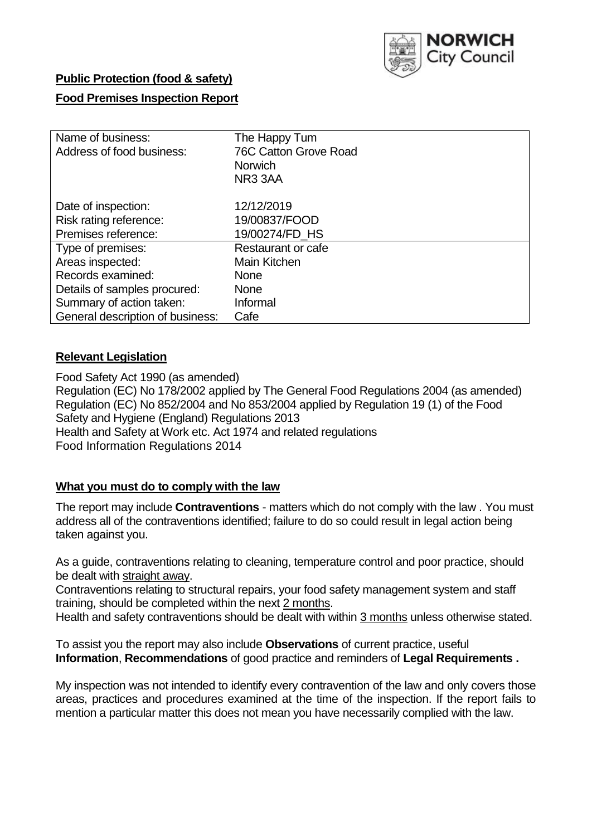

## **Public Protection (food & safety)**

## **Food Premises Inspection Report**

| Name of business:<br>Address of food business: | The Happy Tum<br><b>76C Catton Grove Road</b><br><b>Norwich</b><br>NR <sub>3</sub> 3AA |  |  |  |
|------------------------------------------------|----------------------------------------------------------------------------------------|--|--|--|
| Date of inspection:                            | 12/12/2019                                                                             |  |  |  |
| Risk rating reference:                         | 19/00837/FOOD                                                                          |  |  |  |
| Premises reference:                            | 19/00274/FD_HS                                                                         |  |  |  |
| Type of premises:                              | Restaurant or cafe                                                                     |  |  |  |
| Areas inspected:                               | Main Kitchen                                                                           |  |  |  |
| Records examined:                              | <b>None</b>                                                                            |  |  |  |
| Details of samples procured:                   | <b>None</b>                                                                            |  |  |  |
| Summary of action taken:                       | Informal                                                                               |  |  |  |
| General description of business:               | Cafe                                                                                   |  |  |  |

### **Relevant Legislation**

Food Safety Act 1990 (as amended) Regulation (EC) No 178/2002 applied by The General Food Regulations 2004 (as amended) Regulation (EC) No 852/2004 and No 853/2004 applied by Regulation 19 (1) of the Food Safety and Hygiene (England) Regulations 2013 Health and Safety at Work etc. Act 1974 and related regulations Food Information Regulations 2014

## **What you must do to comply with the law**

The report may include **Contraventions** - matters which do not comply with the law . You must address all of the contraventions identified; failure to do so could result in legal action being taken against you.

As a guide, contraventions relating to cleaning, temperature control and poor practice, should be dealt with straight away.

Contraventions relating to structural repairs, your food safety management system and staff training, should be completed within the next 2 months.

Health and safety contraventions should be dealt with within 3 months unless otherwise stated.

To assist you the report may also include **Observations** of current practice, useful **Information**, **Recommendations** of good practice and reminders of **Legal Requirements .**

My inspection was not intended to identify every contravention of the law and only covers those areas, practices and procedures examined at the time of the inspection. If the report fails to mention a particular matter this does not mean you have necessarily complied with the law.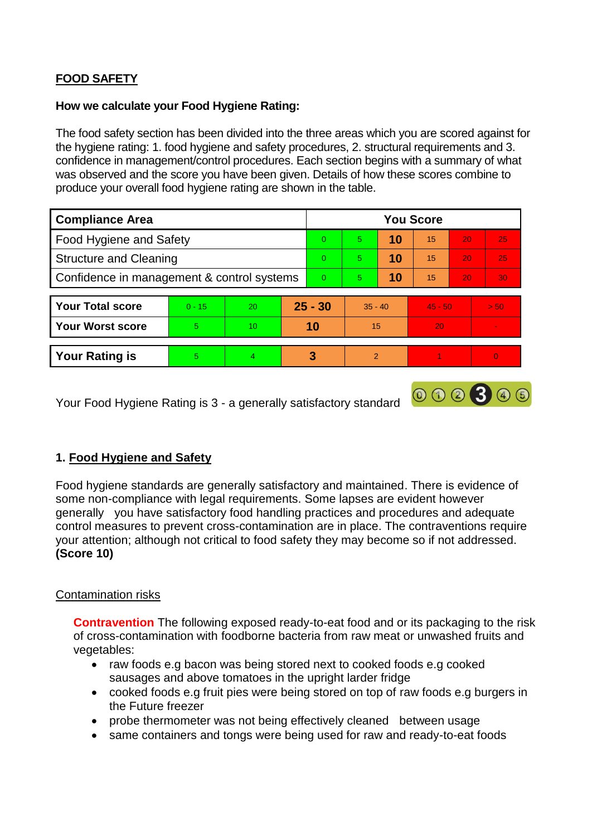# **FOOD SAFETY**

### **How we calculate your Food Hygiene Rating:**

The food safety section has been divided into the three areas which you are scored against for the hygiene rating: 1. food hygiene and safety procedures, 2. structural requirements and 3. confidence in management/control procedures. Each section begins with a summary of what was observed and the score you have been given. Details of how these scores combine to produce your overall food hygiene rating are shown in the table.

| <b>Compliance Area</b>                     |          |                |          | <b>You Score</b> |               |    |           |                 |      |  |  |
|--------------------------------------------|----------|----------------|----------|------------------|---------------|----|-----------|-----------------|------|--|--|
| Food Hygiene and Safety                    |          |                |          | $\Omega$         | 5             | 10 | 15        | 20              | 25   |  |  |
| <b>Structure and Cleaning</b>              |          |                | $\Omega$ | 5                | 10            | 15 | 20        | 25              |      |  |  |
| Confidence in management & control systems |          |                | $\Omega$ | 5                | 10            | 15 | 20        | 30 <sup>°</sup> |      |  |  |
|                                            |          |                |          |                  |               |    |           |                 |      |  |  |
| <b>Your Total score</b>                    | $0 - 15$ | 20             |          | $25 - 30$        | $35 - 40$     |    | $45 - 50$ |                 | > 50 |  |  |
| <b>Your Worst score</b>                    | 5        | 10             |          | 10               | 15            |    | 20        |                 |      |  |  |
|                                            |          |                |          |                  |               |    |           |                 |      |  |  |
| <b>Your Rating is</b>                      | 5.       | $\overline{4}$ |          | 3                | $\mathcal{P}$ |    |           |                 | O    |  |  |

Your Food Hygiene Rating is 3 - a generally satisfactory standard

## **1. Food Hygiene and Safety**

Food hygiene standards are generally satisfactory and maintained. There is evidence of some non-compliance with legal requirements. Some lapses are evident however generally you have satisfactory food handling practices and procedures and adequate control measures to prevent cross-contamination are in place. The contraventions require your attention; although not critical to food safety they may become so if not addressed. **(Score 10)**

000300

### Contamination risks

**Contravention** The following exposed ready-to-eat food and or its packaging to the risk of cross-contamination with foodborne bacteria from raw meat or unwashed fruits and vegetables:

- raw foods e.g bacon was being stored next to cooked foods e.g cooked sausages and above tomatoes in the upright larder fridge
- cooked foods e.g fruit pies were being stored on top of raw foods e.g burgers in the Future freezer
- probe thermometer was not being effectively cleaned between usage
- same containers and tongs were being used for raw and ready-to-eat foods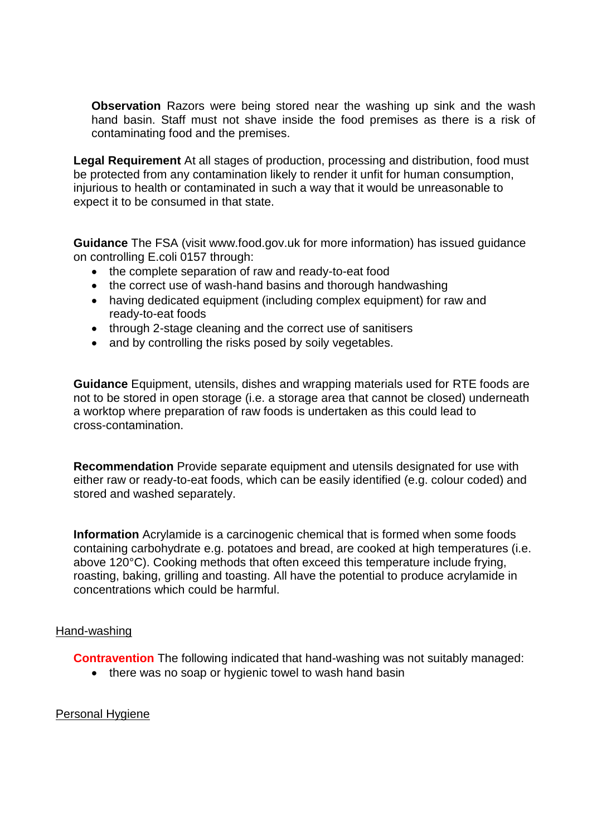**Observation** Razors were being stored near the washing up sink and the wash hand basin. Staff must not shave inside the food premises as there is a risk of contaminating food and the premises.

**Legal Requirement** At all stages of production, processing and distribution, food must be protected from any contamination likely to render it unfit for human consumption, injurious to health or contaminated in such a way that it would be unreasonable to expect it to be consumed in that state.

**Guidance** The FSA (visit www.food.gov.uk for more information) has issued guidance on controlling E.coli 0157 through:

- the complete separation of raw and ready-to-eat food
- the correct use of wash-hand basins and thorough handwashing
- having dedicated equipment (including complex equipment) for raw and ready-to-eat foods
- through 2-stage cleaning and the correct use of sanitisers
- and by controlling the risks posed by soily vegetables.

**Guidance** Equipment, utensils, dishes and wrapping materials used for RTE foods are not to be stored in open storage (i.e. a storage area that cannot be closed) underneath a worktop where preparation of raw foods is undertaken as this could lead to cross-contamination.

**Recommendation** Provide separate equipment and utensils designated for use with either raw or ready-to-eat foods, which can be easily identified (e.g. colour coded) and stored and washed separately.

**Information** Acrylamide is a carcinogenic chemical that is formed when some foods containing carbohydrate e.g. potatoes and bread, are cooked at high temperatures (i.e. above 120°C). Cooking methods that often exceed this temperature include frying, roasting, baking, grilling and toasting. All have the potential to produce acrylamide in concentrations which could be harmful.

#### Hand-washing

**Contravention** The following indicated that hand-washing was not suitably managed:

• there was no soap or hygienic towel to wash hand basin

### Personal Hygiene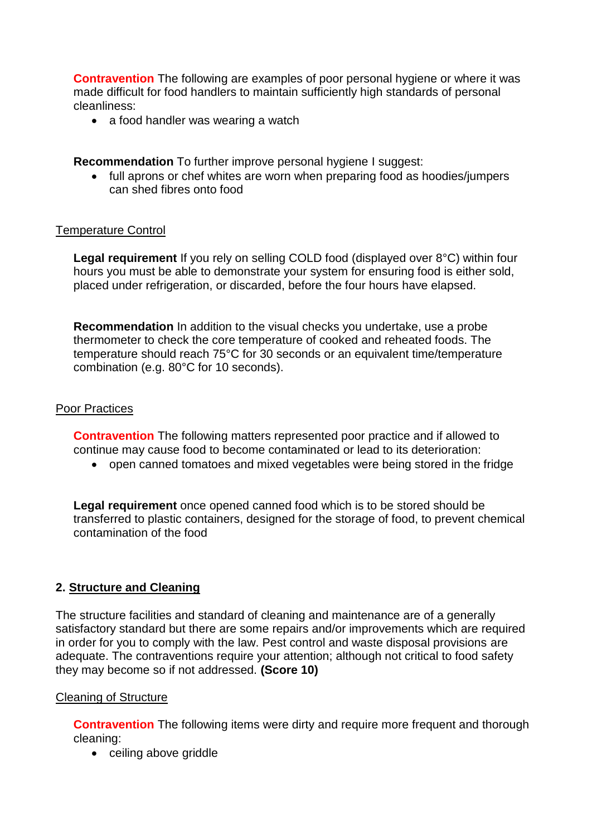**Contravention** The following are examples of poor personal hygiene or where it was made difficult for food handlers to maintain sufficiently high standards of personal cleanliness:

• a food handler was wearing a watch

**Recommendation** To further improve personal hygiene I suggest:

• full aprons or chef whites are worn when preparing food as hoodies/jumpers can shed fibres onto food

### Temperature Control

**Legal requirement** If you rely on selling COLD food (displayed over 8°C) within four hours you must be able to demonstrate your system for ensuring food is either sold, placed under refrigeration, or discarded, before the four hours have elapsed.

**Recommendation** In addition to the visual checks you undertake, use a probe thermometer to check the core temperature of cooked and reheated foods. The temperature should reach 75°C for 30 seconds or an equivalent time/temperature combination (e.g. 80°C for 10 seconds).

### Poor Practices

**Contravention** The following matters represented poor practice and if allowed to continue may cause food to become contaminated or lead to its deterioration:

open canned tomatoes and mixed vegetables were being stored in the fridge

**Legal requirement** once opened canned food which is to be stored should be transferred to plastic containers, designed for the storage of food, to prevent chemical contamination of the food

## **2. Structure and Cleaning**

The structure facilities and standard of cleaning and maintenance are of a generally satisfactory standard but there are some repairs and/or improvements which are required in order for you to comply with the law. Pest control and waste disposal provisions are adequate. The contraventions require your attention; although not critical to food safety they may become so if not addressed. **(Score 10)**

### Cleaning of Structure

**Contravention** The following items were dirty and require more frequent and thorough cleaning:

• ceiling above griddle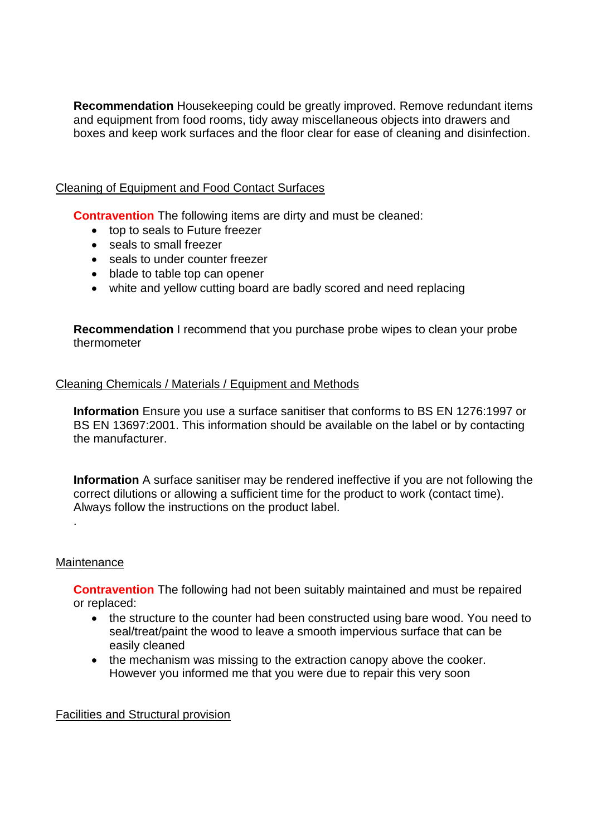**Recommendation** Housekeeping could be greatly improved. Remove redundant items and equipment from food rooms, tidy away miscellaneous objects into drawers and boxes and keep work surfaces and the floor clear for ease of cleaning and disinfection.

### Cleaning of Equipment and Food Contact Surfaces

**Contravention** The following items are dirty and must be cleaned:

- top to seals to Future freezer
- seals to small freezer
- seals to under counter freezer
- blade to table top can opener
- white and yellow cutting board are badly scored and need replacing

**Recommendation** I recommend that you purchase probe wipes to clean your probe thermometer

### Cleaning Chemicals / Materials / Equipment and Methods

**Information** Ensure you use a surface sanitiser that conforms to BS EN 1276:1997 or BS EN 13697:2001. This information should be available on the label or by contacting the manufacturer.

**Information** A surface sanitiser may be rendered ineffective if you are not following the correct dilutions or allowing a sufficient time for the product to work (contact time). Always follow the instructions on the product label.

#### **Maintenance**

.

**Contravention** The following had not been suitably maintained and must be repaired or replaced:

- the structure to the counter had been constructed using bare wood. You need to seal/treat/paint the wood to leave a smooth impervious surface that can be easily cleaned
- the mechanism was missing to the extraction canopy above the cooker. However you informed me that you were due to repair this very soon

### Facilities and Structural provision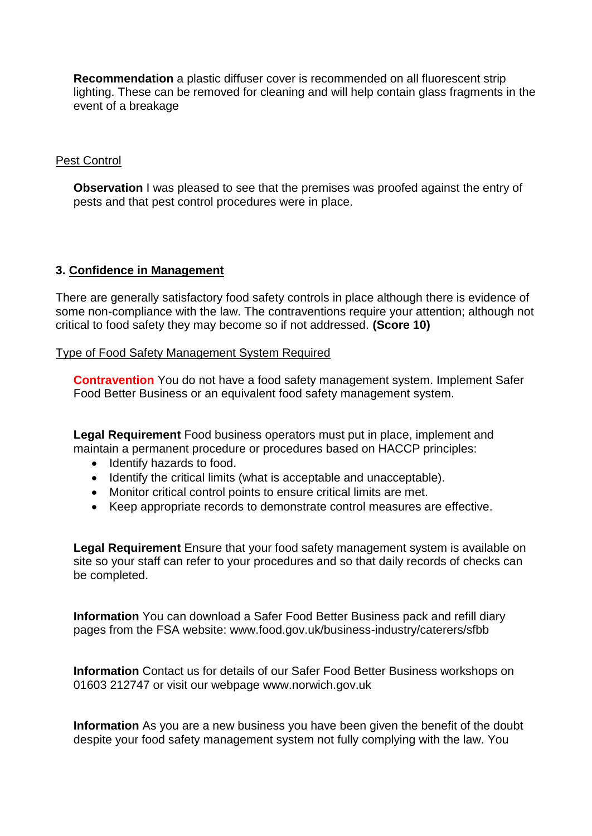**Recommendation** a plastic diffuser cover is recommended on all fluorescent strip lighting. These can be removed for cleaning and will help contain glass fragments in the event of a breakage

#### Pest Control

**Observation** I was pleased to see that the premises was proofed against the entry of pests and that pest control procedures were in place.

#### **3. Confidence in Management**

There are generally satisfactory food safety controls in place although there is evidence of some non-compliance with the law. The contraventions require your attention; although not critical to food safety they may become so if not addressed. **(Score 10)**

Type of Food Safety Management System Required

**Contravention** You do not have a food safety management system. Implement Safer Food Better Business or an equivalent food safety management system.

**Legal Requirement** Food business operators must put in place, implement and maintain a permanent procedure or procedures based on HACCP principles:

- Identify hazards to food.
- Identify the critical limits (what is acceptable and unacceptable).
- Monitor critical control points to ensure critical limits are met.
- Keep appropriate records to demonstrate control measures are effective.

**Legal Requirement** Ensure that your food safety management system is available on site so your staff can refer to your procedures and so that daily records of checks can be completed.

**Information** You can download a Safer Food Better Business pack and refill diary pages from the FSA website: www.food.gov.uk/business-industry/caterers/sfbb

**Information** Contact us for details of our Safer Food Better Business workshops on 01603 212747 or visit our webpage www.norwich.gov.uk

**Information** As you are a new business you have been given the benefit of the doubt despite your food safety management system not fully complying with the law. You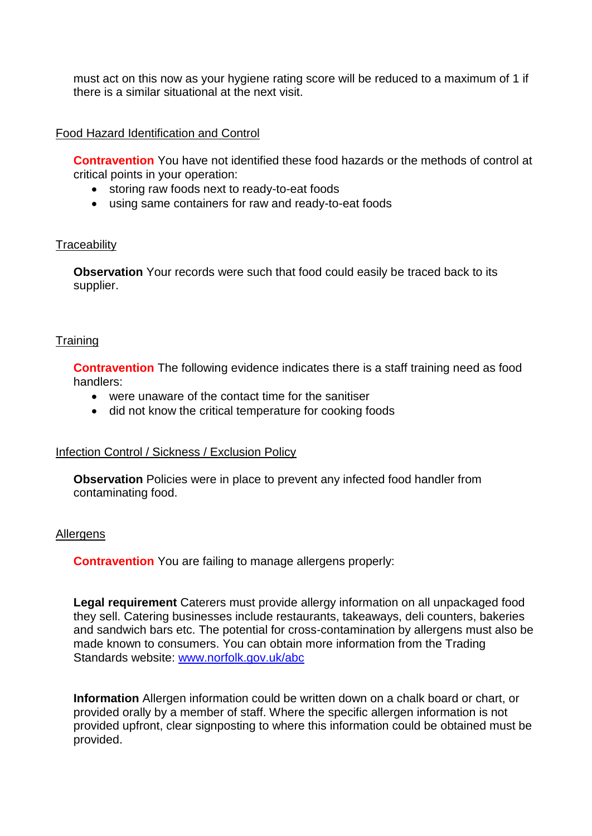must act on this now as your hygiene rating score will be reduced to a maximum of 1 if there is a similar situational at the next visit.

#### Food Hazard Identification and Control

**Contravention** You have not identified these food hazards or the methods of control at critical points in your operation:

- storing raw foods next to ready-to-eat foods
- using same containers for raw and ready-to-eat foods

#### **Traceability**

**Observation** Your records were such that food could easily be traced back to its supplier.

#### **Training**

**Contravention** The following evidence indicates there is a staff training need as food handlers:

- were unaware of the contact time for the sanitiser
- did not know the critical temperature for cooking foods

### Infection Control / Sickness / Exclusion Policy

**Observation** Policies were in place to prevent any infected food handler from contaminating food.

#### Allergens

**Contravention** You are failing to manage allergens properly:

**Legal requirement** Caterers must provide allergy information on all unpackaged food they sell. Catering businesses include restaurants, takeaways, deli counters, bakeries and sandwich bars etc. The potential for cross-contamination by allergens must also be made known to consumers. You can obtain more information from the Trading Standards website: [www.norfolk.gov.uk/abc](http://www.norfolk.gov.uk/abc)

**Information** Allergen information could be written down on a chalk board or chart, or provided orally by a member of staff. Where the specific allergen information is not provided upfront, clear signposting to where this information could be obtained must be provided.